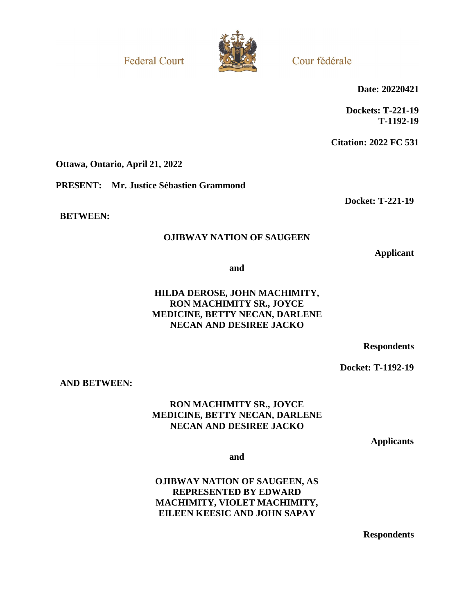**Federal Court** 



Cour fédérale

**Date: 20220421**

**Dockets: T-221-19 T-1192-19**

**Citation: 2022 FC 531**

**Docket: T-221-19**

**Ottawa, Ontario, April 21, 2022**

**PRESENT: Mr. Justice Sébastien Grammond**

**BETWEEN:**

## **OJIBWAY NATION OF SAUGEEN**

**Applicant**

**and**

## **HILDA DEROSE, JOHN MACHIMITY, RON MACHIMITY SR., JOYCE MEDICINE, BETTY NECAN, DARLENE NECAN AND DESIREE JACKO**

**Respondents**

**Docket: T-1192-19**

**AND BETWEEN:**

## **RON MACHIMITY SR., JOYCE MEDICINE, BETTY NECAN, DARLENE NECAN AND DESIREE JACKO**

**Applicants**

**and**

**OJIBWAY NATION OF SAUGEEN, AS REPRESENTED BY EDWARD MACHIMITY, VIOLET MACHIMITY, EILEEN KEESIC AND JOHN SAPAY**

**Respondents**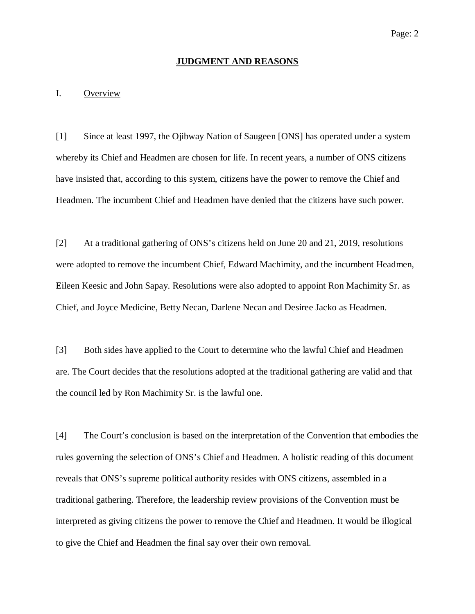#### **JUDGMENT AND REASONS**

#### I. Overview

[1] Since at least 1997, the Ojibway Nation of Saugeen [ONS] has operated under a system whereby its Chief and Headmen are chosen for life. In recent years, a number of ONS citizens have insisted that, according to this system, citizens have the power to remove the Chief and Headmen. The incumbent Chief and Headmen have denied that the citizens have such power.

[2] At a traditional gathering of ONS's citizens held on June 20 and 21, 2019, resolutions were adopted to remove the incumbent Chief, Edward Machimity, and the incumbent Headmen, Eileen Keesic and John Sapay. Resolutions were also adopted to appoint Ron Machimity Sr. as Chief, and Joyce Medicine, Betty Necan, Darlene Necan and Desiree Jacko as Headmen.

[3] Both sides have applied to the Court to determine who the lawful Chief and Headmen are. The Court decides that the resolutions adopted at the traditional gathering are valid and that the council led by Ron Machimity Sr. is the lawful one.

[4] The Court's conclusion is based on the interpretation of the Convention that embodies the rules governing the selection of ONS's Chief and Headmen. A holistic reading of this document reveals that ONS's supreme political authority resides with ONS citizens, assembled in a traditional gathering. Therefore, the leadership review provisions of the Convention must be interpreted as giving citizens the power to remove the Chief and Headmen. It would be illogical to give the Chief and Headmen the final say over their own removal.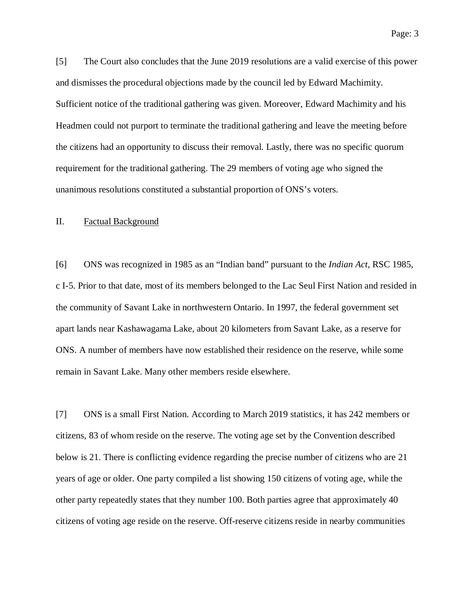[5] The Court also concludes that the June 2019 resolutions are a valid exercise of this power and dismisses the procedural objections made by the council led by Edward Machimity. Sufficient notice of the traditional gathering was given. Moreover, Edward Machimity and his Headmen could not purport to terminate the traditional gathering and leave the meeting before the citizens had an opportunity to discuss their removal. Lastly, there was no specific quorum requirement for the traditional gathering. The 29 members of voting age who signed the unanimous resolutions constituted a substantial proportion of ONS's voters.

#### II. Factual Background

[6] ONS was recognized in 1985 as an "Indian band" pursuant to the *Indian Act*, RSC 1985, c I-5. Prior to that date, most of its members belonged to the Lac Seul First Nation and resided in the community of Savant Lake in northwestern Ontario. In 1997, the federal government set apart lands near Kashawagama Lake, about 20 kilometers from Savant Lake, as a reserve for ONS. A number of members have now established their residence on the reserve, while some remain in Savant Lake. Many other members reside elsewhere.

[7] ONS is a small First Nation. According to March 2019 statistics, it has 242 members or citizens, 83 of whom reside on the reserve. The voting age set by the Convention described below is 21. There is conflicting evidence regarding the precise number of citizens who are 21 years of age or older. One party compiled a list showing 150 citizens of voting age, while the other party repeatedly states that they number 100. Both parties agree that approximately 40 citizens of voting age reside on the reserve. Off-reserve citizens reside in nearby communities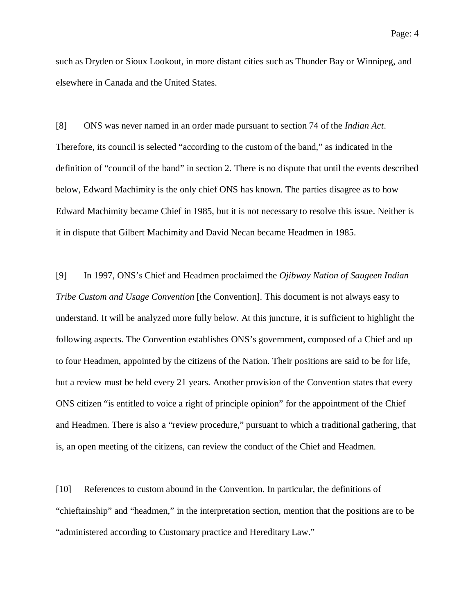such as Dryden or Sioux Lookout, in more distant cities such as Thunder Bay or Winnipeg, and elsewhere in Canada and the United States.

[8] ONS was never named in an order made pursuant to section 74 of the *Indian Act*. Therefore, its council is selected "according to the custom of the band," as indicated in the definition of "council of the band" in section 2. There is no dispute that until the events described below, Edward Machimity is the only chief ONS has known. The parties disagree as to how Edward Machimity became Chief in 1985, but it is not necessary to resolve this issue. Neither is it in dispute that Gilbert Machimity and David Necan became Headmen in 1985.

[9] In 1997, ONS's Chief and Headmen proclaimed the *Ojibway Nation of Saugeen Indian Tribe Custom and Usage Convention* [the Convention]. This document is not always easy to understand. It will be analyzed more fully below. At this juncture, it is sufficient to highlight the following aspects. The Convention establishes ONS's government, composed of a Chief and up to four Headmen, appointed by the citizens of the Nation. Their positions are said to be for life, but a review must be held every 21 years. Another provision of the Convention states that every ONS citizen "is entitled to voice a right of principle opinion" for the appointment of the Chief and Headmen. There is also a "review procedure," pursuant to which a traditional gathering, that is, an open meeting of the citizens, can review the conduct of the Chief and Headmen.

[10] References to custom abound in the Convention. In particular, the definitions of "chieftainship" and "headmen," in the interpretation section, mention that the positions are to be "administered according to Customary practice and Hereditary Law."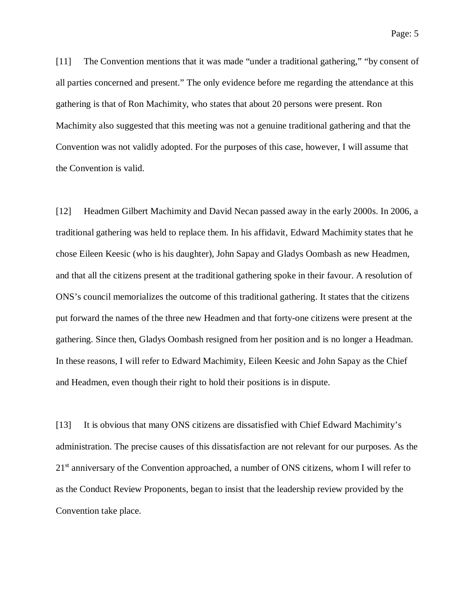[11] The Convention mentions that it was made "under a traditional gathering," "by consent of all parties concerned and present." The only evidence before me regarding the attendance at this gathering is that of Ron Machimity, who states that about 20 persons were present. Ron Machimity also suggested that this meeting was not a genuine traditional gathering and that the Convention was not validly adopted. For the purposes of this case, however, I will assume that the Convention is valid.

[12] Headmen Gilbert Machimity and David Necan passed away in the early 2000s. In 2006, a traditional gathering was held to replace them. In his affidavit, Edward Machimity states that he chose Eileen Keesic (who is his daughter), John Sapay and Gladys Oombash as new Headmen, and that all the citizens present at the traditional gathering spoke in their favour. A resolution of ONS's council memorializes the outcome of this traditional gathering. It states that the citizens put forward the names of the three new Headmen and that forty-one citizens were present at the gathering. Since then, Gladys Oombash resigned from her position and is no longer a Headman. In these reasons, I will refer to Edward Machimity, Eileen Keesic and John Sapay as the Chief and Headmen, even though their right to hold their positions is in dispute.

[13] It is obvious that many ONS citizens are dissatisfied with Chief Edward Machimity's administration. The precise causes of this dissatisfaction are not relevant for our purposes. As the 21<sup>st</sup> anniversary of the Convention approached, a number of ONS citizens, whom I will refer to as the Conduct Review Proponents, began to insist that the leadership review provided by the Convention take place.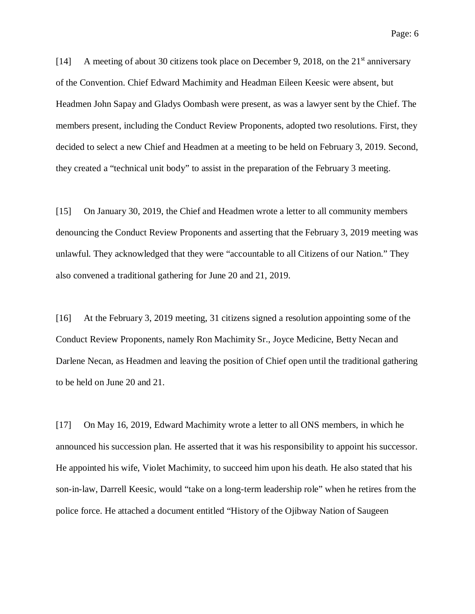[14] A meeting of about 30 citizens took place on December 9, 2018, on the  $21<sup>st</sup>$  anniversary of the Convention. Chief Edward Machimity and Headman Eileen Keesic were absent, but Headmen John Sapay and Gladys Oombash were present, as was a lawyer sent by the Chief. The members present, including the Conduct Review Proponents, adopted two resolutions. First, they decided to select a new Chief and Headmen at a meeting to be held on February 3, 2019. Second, they created a "technical unit body" to assist in the preparation of the February 3 meeting.

[15] On January 30, 2019, the Chief and Headmen wrote a letter to all community members denouncing the Conduct Review Proponents and asserting that the February 3, 2019 meeting was unlawful. They acknowledged that they were "accountable to all Citizens of our Nation." They also convened a traditional gathering for June 20 and 21, 2019.

[16] At the February 3, 2019 meeting, 31 citizens signed a resolution appointing some of the Conduct Review Proponents, namely Ron Machimity Sr., Joyce Medicine, Betty Necan and Darlene Necan, as Headmen and leaving the position of Chief open until the traditional gathering to be held on June 20 and 21.

[17] On May 16, 2019, Edward Machimity wrote a letter to all ONS members, in which he announced his succession plan. He asserted that it was his responsibility to appoint his successor. He appointed his wife, Violet Machimity, to succeed him upon his death. He also stated that his son-in-law, Darrell Keesic, would "take on a long-term leadership role" when he retires from the police force. He attached a document entitled "History of the Ojibway Nation of Saugeen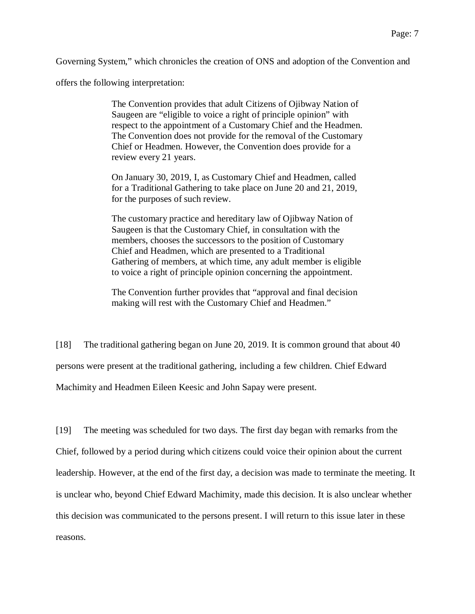Governing System," which chronicles the creation of ONS and adoption of the Convention and

offers the following interpretation:

The Convention provides that adult Citizens of Ojibway Nation of Saugeen are "eligible to voice a right of principle opinion" with respect to the appointment of a Customary Chief and the Headmen. The Convention does not provide for the removal of the Customary Chief or Headmen. However, the Convention does provide for a review every 21 years.

On January 30, 2019, I, as Customary Chief and Headmen, called for a Traditional Gathering to take place on June 20 and 21, 2019, for the purposes of such review.

The customary practice and hereditary law of Ojibway Nation of Saugeen is that the Customary Chief, in consultation with the members, chooses the successors to the position of Customary Chief and Headmen, which are presented to a Traditional Gathering of members, at which time, any adult member is eligible to voice a right of principle opinion concerning the appointment.

The Convention further provides that "approval and final decision making will rest with the Customary Chief and Headmen."

[18] The traditional gathering began on June 20, 2019. It is common ground that about 40 persons were present at the traditional gathering, including a few children. Chief Edward Machimity and Headmen Eileen Keesic and John Sapay were present.

[19] The meeting was scheduled for two days. The first day began with remarks from the Chief, followed by a period during which citizens could voice their opinion about the current leadership. However, at the end of the first day, a decision was made to terminate the meeting. It is unclear who, beyond Chief Edward Machimity, made this decision. It is also unclear whether this decision was communicated to the persons present. I will return to this issue later in these reasons.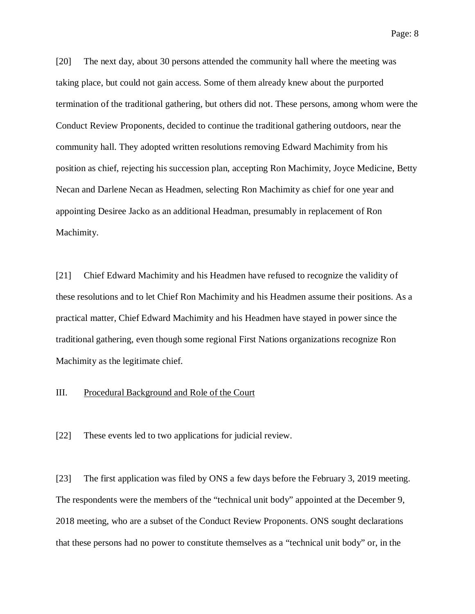[20] The next day, about 30 persons attended the community hall where the meeting was taking place, but could not gain access. Some of them already knew about the purported termination of the traditional gathering, but others did not. These persons, among whom were the Conduct Review Proponents, decided to continue the traditional gathering outdoors, near the community hall. They adopted written resolutions removing Edward Machimity from his position as chief, rejecting his succession plan, accepting Ron Machimity, Joyce Medicine, Betty Necan and Darlene Necan as Headmen, selecting Ron Machimity as chief for one year and appointing Desiree Jacko as an additional Headman, presumably in replacement of Ron Machimity.

[21] Chief Edward Machimity and his Headmen have refused to recognize the validity of these resolutions and to let Chief Ron Machimity and his Headmen assume their positions. As a practical matter, Chief Edward Machimity and his Headmen have stayed in power since the traditional gathering, even though some regional First Nations organizations recognize Ron Machimity as the legitimate chief.

## III. Procedural Background and Role of the Court

[22] These events led to two applications for judicial review.

[23] The first application was filed by ONS a few days before the February 3, 2019 meeting. The respondents were the members of the "technical unit body" appointed at the December 9, 2018 meeting, who are a subset of the Conduct Review Proponents. ONS sought declarations that these persons had no power to constitute themselves as a "technical unit body" or, in the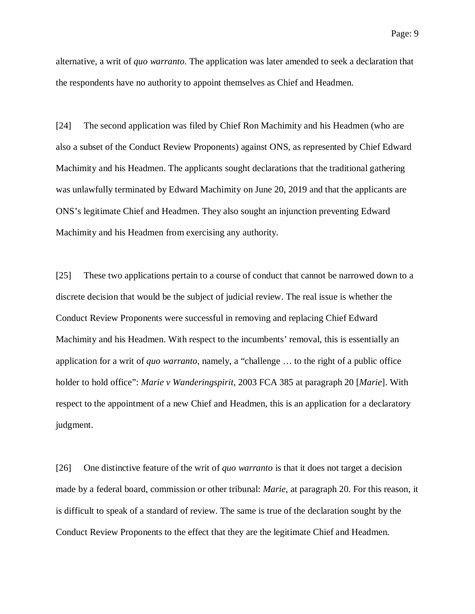alternative, a writ of *quo warranto*. The application was later amended to seek a declaration that the respondents have no authority to appoint themselves as Chief and Headmen.

[24] The second application was filed by Chief Ron Machimity and his Headmen (who are also a subset of the Conduct Review Proponents) against ONS, as represented by Chief Edward Machimity and his Headmen. The applicants sought declarations that the traditional gathering was unlawfully terminated by Edward Machimity on June 20, 2019 and that the applicants are ONS's legitimate Chief and Headmen. They also sought an injunction preventing Edward Machimity and his Headmen from exercising any authority.

[25] These two applications pertain to a course of conduct that cannot be narrowed down to a discrete decision that would be the subject of judicial review. The real issue is whether the Conduct Review Proponents were successful in removing and replacing Chief Edward Machimity and his Headmen. With respect to the incumbents' removal, this is essentially an application for a writ of *quo warranto*, namely, a "challenge … to the right of a public office holder to hold office": *Marie v Wanderingspirit*, 2003 FCA 385 at paragraph 20 [*Marie*]. With respect to the appointment of a new Chief and Headmen, this is an application for a declaratory judgment.

[26] One distinctive feature of the writ of *quo warranto* is that it does not target a decision made by a federal board, commission or other tribunal: *Marie*, at paragraph 20. For this reason, it is difficult to speak of a standard of review. The same is true of the declaration sought by the Conduct Review Proponents to the effect that they are the legitimate Chief and Headmen.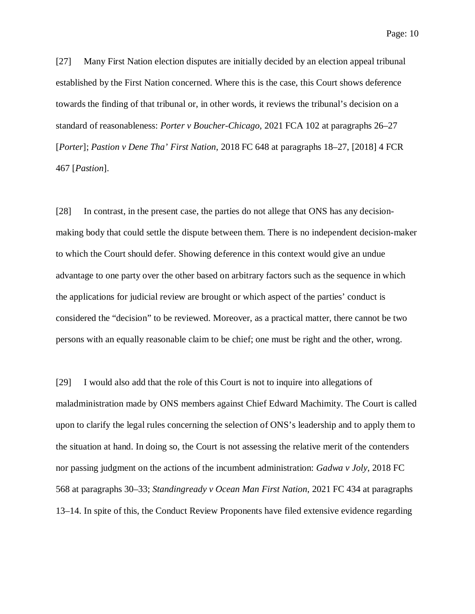[27] Many First Nation election disputes are initially decided by an election appeal tribunal established by the First Nation concerned. Where this is the case, this Court shows deference towards the finding of that tribunal or, in other words, it reviews the tribunal's decision on a standard of reasonableness: *Porter v Boucher-Chicago*, 2021 FCA 102 at paragraphs 26–27 [*Porter*]; *Pastion v Dene Tha' First Nation*, 2018 FC 648 at paragraphs 18–27, [2018] 4 FCR 467 [*Pastion*].

[28] In contrast, in the present case, the parties do not allege that ONS has any decisionmaking body that could settle the dispute between them. There is no independent decision-maker to which the Court should defer. Showing deference in this context would give an undue advantage to one party over the other based on arbitrary factors such as the sequence in which the applications for judicial review are brought or which aspect of the parties' conduct is considered the "decision" to be reviewed. Moreover, as a practical matter, there cannot be two persons with an equally reasonable claim to be chief; one must be right and the other, wrong.

[29] I would also add that the role of this Court is not to inquire into allegations of maladministration made by ONS members against Chief Edward Machimity. The Court is called upon to clarify the legal rules concerning the selection of ONS's leadership and to apply them to the situation at hand. In doing so, the Court is not assessing the relative merit of the contenders nor passing judgment on the actions of the incumbent administration: *Gadwa v Joly*, 2018 FC 568 at paragraphs 30–33; *Standingready v Ocean Man First Nation*, 2021 FC 434 at paragraphs 13–14. In spite of this, the Conduct Review Proponents have filed extensive evidence regarding

Page: 10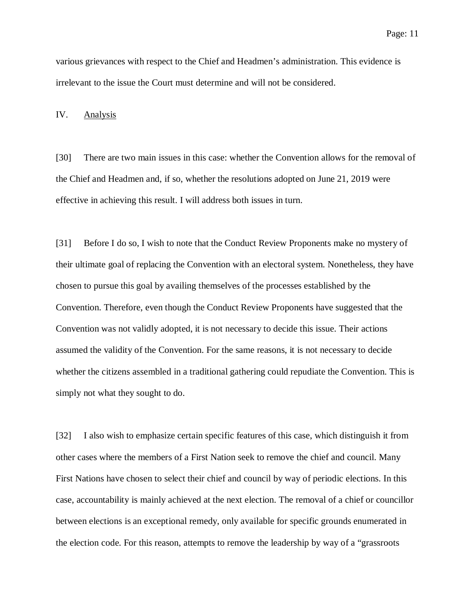various grievances with respect to the Chief and Headmen's administration. This evidence is irrelevant to the issue the Court must determine and will not be considered.

IV. Analysis

[30] There are two main issues in this case: whether the Convention allows for the removal of the Chief and Headmen and, if so, whether the resolutions adopted on June 21, 2019 were effective in achieving this result. I will address both issues in turn.

[31] Before I do so, I wish to note that the Conduct Review Proponents make no mystery of their ultimate goal of replacing the Convention with an electoral system. Nonetheless, they have chosen to pursue this goal by availing themselves of the processes established by the Convention. Therefore, even though the Conduct Review Proponents have suggested that the Convention was not validly adopted, it is not necessary to decide this issue. Their actions assumed the validity of the Convention. For the same reasons, it is not necessary to decide whether the citizens assembled in a traditional gathering could repudiate the Convention. This is simply not what they sought to do.

[32] I also wish to emphasize certain specific features of this case, which distinguish it from other cases where the members of a First Nation seek to remove the chief and council. Many First Nations have chosen to select their chief and council by way of periodic elections. In this case, accountability is mainly achieved at the next election. The removal of a chief or councillor between elections is an exceptional remedy, only available for specific grounds enumerated in the election code. For this reason, attempts to remove the leadership by way of a "grassroots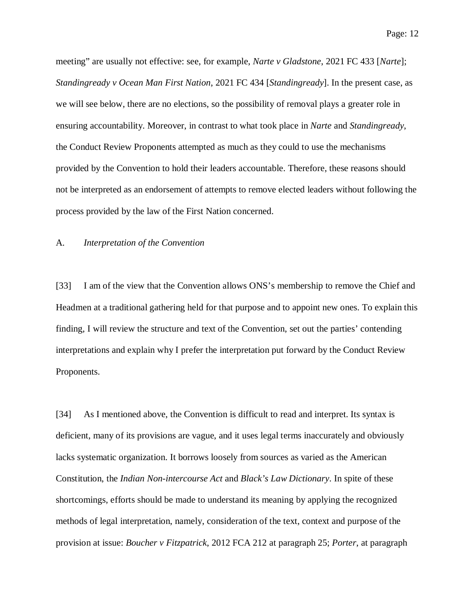Page: 12

meeting" are usually not effective: see, for example, *Narte v Gladstone*, 2021 FC 433 [*Narte*]; *Standingready v Ocean Man First Nation*, 2021 FC 434 [*Standingready*]. In the present case, as we will see below, there are no elections, so the possibility of removal plays a greater role in ensuring accountability. Moreover, in contrast to what took place in *Narte* and *Standingready*, the Conduct Review Proponents attempted as much as they could to use the mechanisms provided by the Convention to hold their leaders accountable. Therefore, these reasons should not be interpreted as an endorsement of attempts to remove elected leaders without following the process provided by the law of the First Nation concerned.

#### A. *Interpretation of the Convention*

[33] I am of the view that the Convention allows ONS's membership to remove the Chief and Headmen at a traditional gathering held for that purpose and to appoint new ones. To explain this finding, I will review the structure and text of the Convention, set out the parties' contending interpretations and explain why I prefer the interpretation put forward by the Conduct Review Proponents.

[34] As I mentioned above, the Convention is difficult to read and interpret. Its syntax is deficient, many of its provisions are vague, and it uses legal terms inaccurately and obviously lacks systematic organization. It borrows loosely from sources as varied as the American Constitution, the *Indian Non-intercourse Act* and *Black's Law Dictionary*. In spite of these shortcomings, efforts should be made to understand its meaning by applying the recognized methods of legal interpretation, namely, consideration of the text, context and purpose of the provision at issue: *Boucher v Fitzpatrick*, 2012 FCA 212 at paragraph 25; *Porter*, at paragraph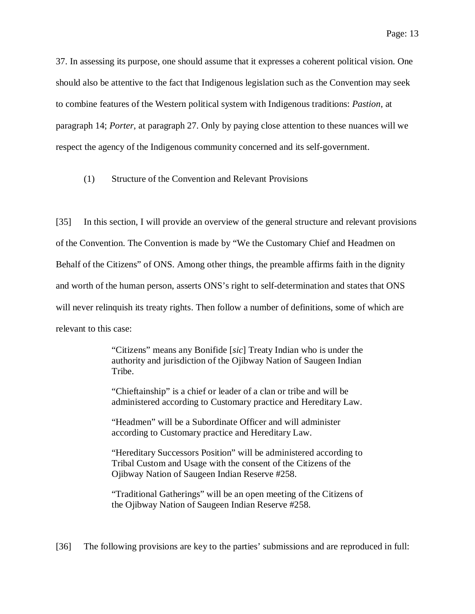37. In assessing its purpose, one should assume that it expresses a coherent political vision. One should also be attentive to the fact that Indigenous legislation such as the Convention may seek to combine features of the Western political system with Indigenous traditions: *Pastion*, at paragraph 14; *Porter*, at paragraph 27. Only by paying close attention to these nuances will we respect the agency of the Indigenous community concerned and its self-government.

(1) Structure of the Convention and Relevant Provisions

[35] In this section, I will provide an overview of the general structure and relevant provisions of the Convention. The Convention is made by "We the Customary Chief and Headmen on Behalf of the Citizens" of ONS. Among other things, the preamble affirms faith in the dignity and worth of the human person, asserts ONS's right to self-determination and states that ONS will never relinquish its treaty rights. Then follow a number of definitions, some of which are relevant to this case:

> "Citizens" means any Bonifide [*sic*] Treaty Indian who is under the authority and jurisdiction of the Ojibway Nation of Saugeen Indian Tribe.

> "Chieftainship" is a chief or leader of a clan or tribe and will be administered according to Customary practice and Hereditary Law.

"Headmen" will be a Subordinate Officer and will administer according to Customary practice and Hereditary Law.

"Hereditary Successors Position" will be administered according to Tribal Custom and Usage with the consent of the Citizens of the Ojibway Nation of Saugeen Indian Reserve #258.

"Traditional Gatherings" will be an open meeting of the Citizens of the Ojibway Nation of Saugeen Indian Reserve #258.

[36] The following provisions are key to the parties' submissions and are reproduced in full: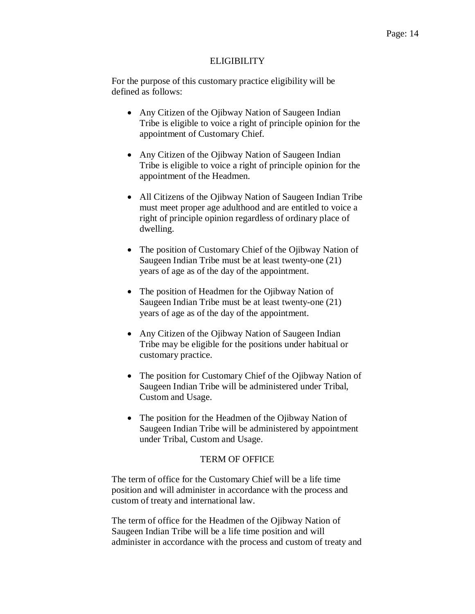#### **ELIGIBILITY**

For the purpose of this customary practice eligibility will be defined as follows:

- Any Citizen of the Ojibway Nation of Saugeen Indian Tribe is eligible to voice a right of principle opinion for the appointment of Customary Chief.
- Any Citizen of the Ojibway Nation of Saugeen Indian Tribe is eligible to voice a right of principle opinion for the appointment of the Headmen.
- All Citizens of the Ojibway Nation of Saugeen Indian Tribe must meet proper age adulthood and are entitled to voice a right of principle opinion regardless of ordinary place of dwelling.
- The position of Customary Chief of the Ojibway Nation of Saugeen Indian Tribe must be at least twenty-one (21) years of age as of the day of the appointment.
- The position of Headmen for the Ojibway Nation of Saugeen Indian Tribe must be at least twenty-one (21) years of age as of the day of the appointment.
- Any Citizen of the Ojibway Nation of Saugeen Indian Tribe may be eligible for the positions under habitual or customary practice.
- The position for Customary Chief of the Ojibway Nation of Saugeen Indian Tribe will be administered under Tribal, Custom and Usage.
- The position for the Headmen of the Ojibway Nation of Saugeen Indian Tribe will be administered by appointment under Tribal, Custom and Usage.

## TERM OF OFFICE

The term of office for the Customary Chief will be a life time position and will administer in accordance with the process and custom of treaty and international law.

The term of office for the Headmen of the Ojibway Nation of Saugeen Indian Tribe will be a life time position and will administer in accordance with the process and custom of treaty and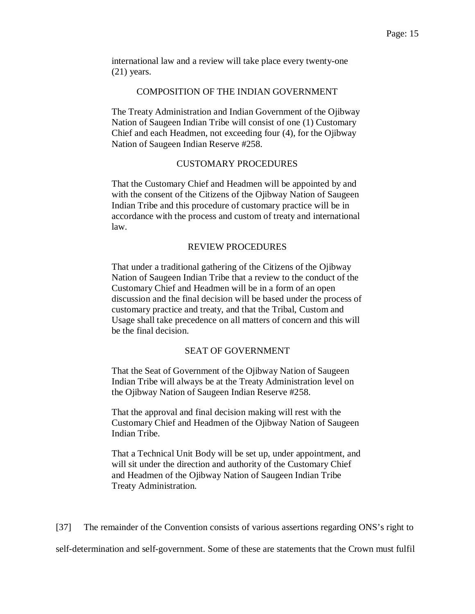international law and a review will take place every twenty-one (21) years.

## COMPOSITION OF THE INDIAN GOVERNMENT

The Treaty Administration and Indian Government of the Ojibway Nation of Saugeen Indian Tribe will consist of one (1) Customary Chief and each Headmen, not exceeding four (4), for the Ojibway Nation of Saugeen Indian Reserve #258.

#### CUSTOMARY PROCEDURES

That the Customary Chief and Headmen will be appointed by and with the consent of the Citizens of the Ojibway Nation of Saugeen Indian Tribe and this procedure of customary practice will be in accordance with the process and custom of treaty and international law.

#### REVIEW PROCEDURES

That under a traditional gathering of the Citizens of the Ojibway Nation of Saugeen Indian Tribe that a review to the conduct of the Customary Chief and Headmen will be in a form of an open discussion and the final decision will be based under the process of customary practice and treaty, and that the Tribal, Custom and Usage shall take precedence on all matters of concern and this will be the final decision.

## SEAT OF GOVERNMENT

That the Seat of Government of the Ojibway Nation of Saugeen Indian Tribe will always be at the Treaty Administration level on the Ojibway Nation of Saugeen Indian Reserve #258.

That the approval and final decision making will rest with the Customary Chief and Headmen of the Ojibway Nation of Saugeen Indian Tribe.

That a Technical Unit Body will be set up, under appointment, and will sit under the direction and authority of the Customary Chief and Headmen of the Ojibway Nation of Saugeen Indian Tribe Treaty Administration.

[37] The remainder of the Convention consists of various assertions regarding ONS's right to self-determination and self-government. Some of these are statements that the Crown must fulfil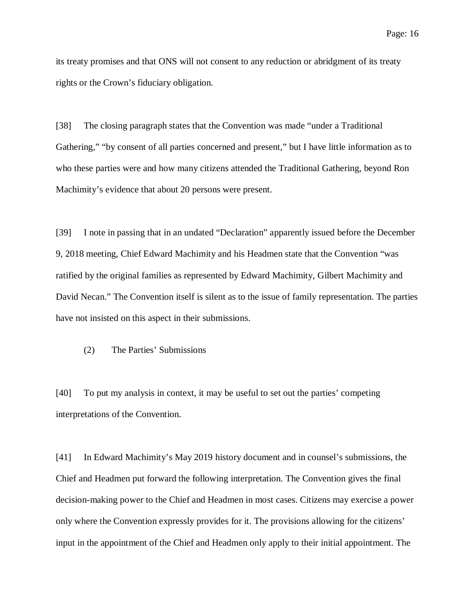its treaty promises and that ONS will not consent to any reduction or abridgment of its treaty rights or the Crown's fiduciary obligation.

[38] The closing paragraph states that the Convention was made "under a Traditional Gathering," "by consent of all parties concerned and present," but I have little information as to who these parties were and how many citizens attended the Traditional Gathering, beyond Ron Machimity's evidence that about 20 persons were present.

[39] I note in passing that in an undated "Declaration" apparently issued before the December 9, 2018 meeting, Chief Edward Machimity and his Headmen state that the Convention "was ratified by the original families as represented by Edward Machimity, Gilbert Machimity and David Necan." The Convention itself is silent as to the issue of family representation. The parties have not insisted on this aspect in their submissions.

(2) The Parties' Submissions

[40] To put my analysis in context, it may be useful to set out the parties' competing interpretations of the Convention.

[41] In Edward Machimity's May 2019 history document and in counsel's submissions, the Chief and Headmen put forward the following interpretation. The Convention gives the final decision-making power to the Chief and Headmen in most cases. Citizens may exercise a power only where the Convention expressly provides for it. The provisions allowing for the citizens' input in the appointment of the Chief and Headmen only apply to their initial appointment. The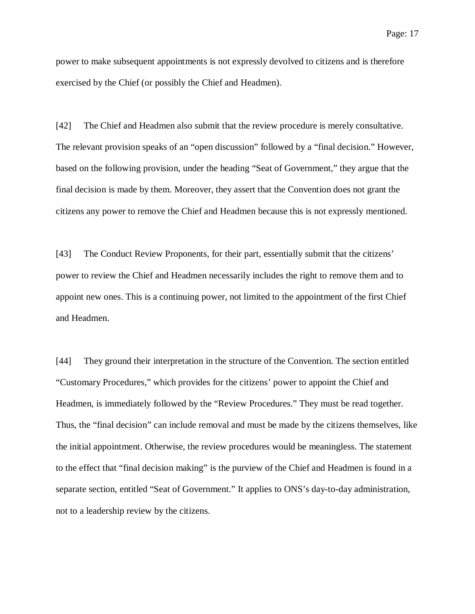power to make subsequent appointments is not expressly devolved to citizens and is therefore exercised by the Chief (or possibly the Chief and Headmen).

[42] The Chief and Headmen also submit that the review procedure is merely consultative. The relevant provision speaks of an "open discussion" followed by a "final decision." However, based on the following provision, under the heading "Seat of Government," they argue that the final decision is made by them. Moreover, they assert that the Convention does not grant the citizens any power to remove the Chief and Headmen because this is not expressly mentioned.

[43] The Conduct Review Proponents, for their part, essentially submit that the citizens' power to review the Chief and Headmen necessarily includes the right to remove them and to appoint new ones. This is a continuing power, not limited to the appointment of the first Chief and Headmen.

[44] They ground their interpretation in the structure of the Convention. The section entitled "Customary Procedures," which provides for the citizens' power to appoint the Chief and Headmen, is immediately followed by the "Review Procedures." They must be read together. Thus, the "final decision" can include removal and must be made by the citizens themselves, like the initial appointment. Otherwise, the review procedures would be meaningless. The statement to the effect that "final decision making" is the purview of the Chief and Headmen is found in a separate section, entitled "Seat of Government." It applies to ONS's day-to-day administration, not to a leadership review by the citizens.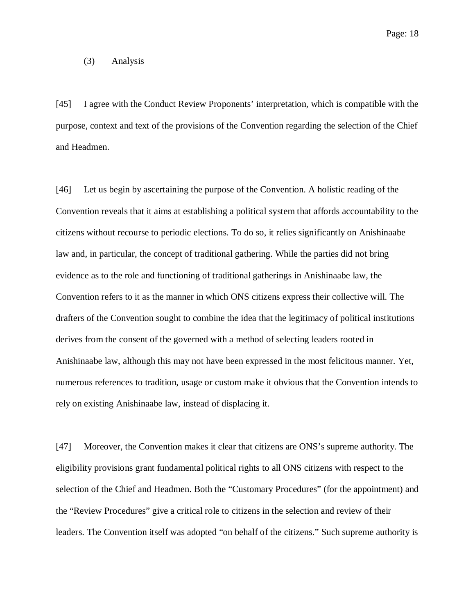Page: 18

#### (3) Analysis

[45] I agree with the Conduct Review Proponents' interpretation, which is compatible with the purpose, context and text of the provisions of the Convention regarding the selection of the Chief and Headmen.

[46] Let us begin by ascertaining the purpose of the Convention. A holistic reading of the Convention reveals that it aims at establishing a political system that affords accountability to the citizens without recourse to periodic elections. To do so, it relies significantly on Anishinaabe law and, in particular, the concept of traditional gathering. While the parties did not bring evidence as to the role and functioning of traditional gatherings in Anishinaabe law, the Convention refers to it as the manner in which ONS citizens express their collective will. The drafters of the Convention sought to combine the idea that the legitimacy of political institutions derives from the consent of the governed with a method of selecting leaders rooted in Anishinaabe law, although this may not have been expressed in the most felicitous manner. Yet, numerous references to tradition, usage or custom make it obvious that the Convention intends to rely on existing Anishinaabe law, instead of displacing it.

[47] Moreover, the Convention makes it clear that citizens are ONS's supreme authority. The eligibility provisions grant fundamental political rights to all ONS citizens with respect to the selection of the Chief and Headmen. Both the "Customary Procedures" (for the appointment) and the "Review Procedures" give a critical role to citizens in the selection and review of their leaders. The Convention itself was adopted "on behalf of the citizens." Such supreme authority is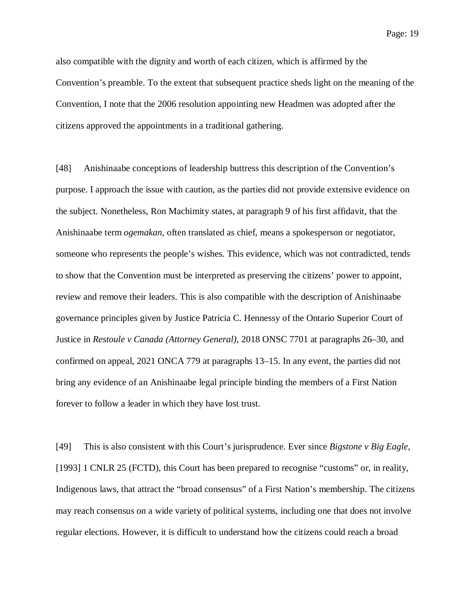Page: 19

also compatible with the dignity and worth of each citizen, which is affirmed by the Convention's preamble. To the extent that subsequent practice sheds light on the meaning of the Convention, I note that the 2006 resolution appointing new Headmen was adopted after the citizens approved the appointments in a traditional gathering.

[48] Anishinaabe conceptions of leadership buttress this description of the Convention's purpose. I approach the issue with caution, as the parties did not provide extensive evidence on the subject. Nonetheless, Ron Machimity states, at paragraph 9 of his first affidavit, that the Anishinaabe term *ogemakan*, often translated as chief, means a spokesperson or negotiator, someone who represents the people's wishes. This evidence, which was not contradicted, tends to show that the Convention must be interpreted as preserving the citizens' power to appoint, review and remove their leaders. This is also compatible with the description of Anishinaabe governance principles given by Justice Patricia C. Hennessy of the Ontario Superior Court of Justice in *Restoule v Canada (Attorney General)*, 2018 ONSC 7701 at paragraphs 26–30, and confirmed on appeal, 2021 ONCA 779 at paragraphs 13–15. In any event, the parties did not bring any evidence of an Anishinaabe legal principle binding the members of a First Nation forever to follow a leader in which they have lost trust.

[49] This is also consistent with this Court's jurisprudence. Ever since *Bigstone v Big Eagle*, [1993] 1 CNLR 25 (FCTD), this Court has been prepared to recognise "customs" or, in reality, Indigenous laws, that attract the "broad consensus" of a First Nation's membership. The citizens may reach consensus on a wide variety of political systems, including one that does not involve regular elections. However, it is difficult to understand how the citizens could reach a broad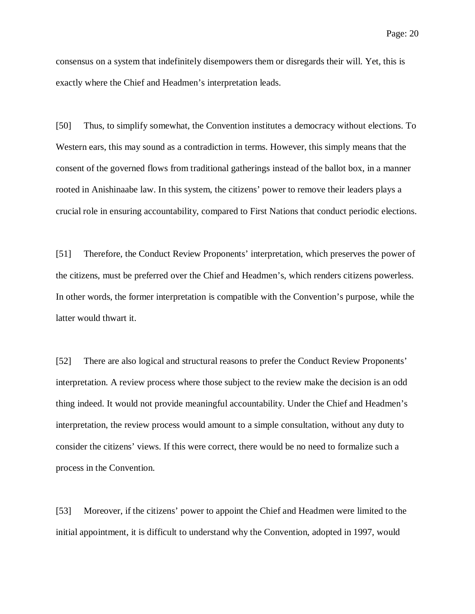consensus on a system that indefinitely disempowers them or disregards their will. Yet, this is exactly where the Chief and Headmen's interpretation leads.

[50] Thus, to simplify somewhat, the Convention institutes a democracy without elections. To Western ears, this may sound as a contradiction in terms. However, this simply means that the consent of the governed flows from traditional gatherings instead of the ballot box, in a manner rooted in Anishinaabe law. In this system, the citizens' power to remove their leaders plays a crucial role in ensuring accountability, compared to First Nations that conduct periodic elections.

[51] Therefore, the Conduct Review Proponents' interpretation, which preserves the power of the citizens, must be preferred over the Chief and Headmen's, which renders citizens powerless. In other words, the former interpretation is compatible with the Convention's purpose, while the latter would thwart it.

[52] There are also logical and structural reasons to prefer the Conduct Review Proponents' interpretation. A review process where those subject to the review make the decision is an odd thing indeed. It would not provide meaningful accountability. Under the Chief and Headmen's interpretation, the review process would amount to a simple consultation, without any duty to consider the citizens' views. If this were correct, there would be no need to formalize such a process in the Convention.

[53] Moreover, if the citizens' power to appoint the Chief and Headmen were limited to the initial appointment, it is difficult to understand why the Convention, adopted in 1997, would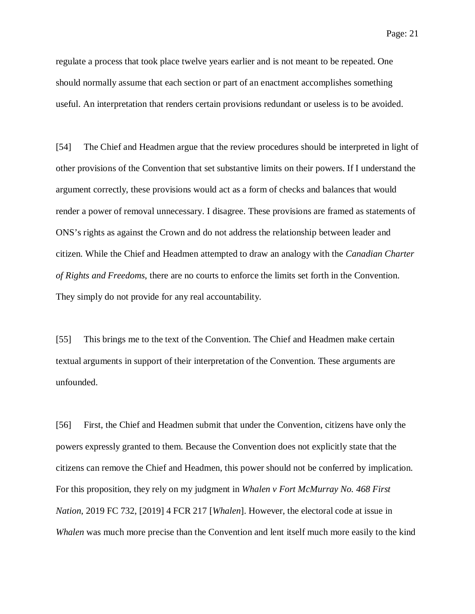regulate a process that took place twelve years earlier and is not meant to be repeated. One should normally assume that each section or part of an enactment accomplishes something useful. An interpretation that renders certain provisions redundant or useless is to be avoided.

[54] The Chief and Headmen argue that the review procedures should be interpreted in light of other provisions of the Convention that set substantive limits on their powers. If I understand the argument correctly, these provisions would act as a form of checks and balances that would render a power of removal unnecessary. I disagree. These provisions are framed as statements of ONS's rights as against the Crown and do not address the relationship between leader and citizen. While the Chief and Headmen attempted to draw an analogy with the *Canadian Charter of Rights and Freedoms*, there are no courts to enforce the limits set forth in the Convention. They simply do not provide for any real accountability.

[55] This brings me to the text of the Convention. The Chief and Headmen make certain textual arguments in support of their interpretation of the Convention. These arguments are unfounded.

[56] First, the Chief and Headmen submit that under the Convention, citizens have only the powers expressly granted to them. Because the Convention does not explicitly state that the citizens can remove the Chief and Headmen, this power should not be conferred by implication. For this proposition, they rely on my judgment in *Whalen v Fort McMurray No. 468 First Nation*, 2019 FC 732, [2019] 4 FCR 217 [*Whalen*]. However, the electoral code at issue in *Whalen* was much more precise than the Convention and lent itself much more easily to the kind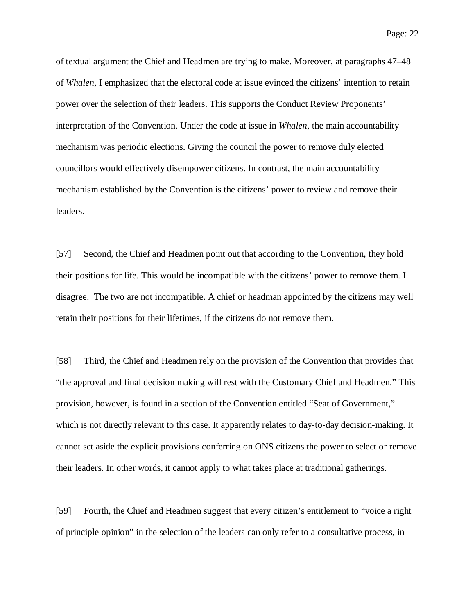Page: 22

of textual argument the Chief and Headmen are trying to make. Moreover, at paragraphs 47–48 of *Whalen*, I emphasized that the electoral code at issue evinced the citizens' intention to retain power over the selection of their leaders. This supports the Conduct Review Proponents' interpretation of the Convention. Under the code at issue in *Whalen*, the main accountability mechanism was periodic elections. Giving the council the power to remove duly elected councillors would effectively disempower citizens. In contrast, the main accountability mechanism established by the Convention is the citizens' power to review and remove their leaders.

[57] Second, the Chief and Headmen point out that according to the Convention, they hold their positions for life. This would be incompatible with the citizens' power to remove them. I disagree. The two are not incompatible. A chief or headman appointed by the citizens may well retain their positions for their lifetimes, if the citizens do not remove them.

[58] Third, the Chief and Headmen rely on the provision of the Convention that provides that "the approval and final decision making will rest with the Customary Chief and Headmen." This provision, however, is found in a section of the Convention entitled "Seat of Government," which is not directly relevant to this case. It apparently relates to day-to-day decision-making. It cannot set aside the explicit provisions conferring on ONS citizens the power to select or remove their leaders. In other words, it cannot apply to what takes place at traditional gatherings.

[59] Fourth, the Chief and Headmen suggest that every citizen's entitlement to "voice a right of principle opinion" in the selection of the leaders can only refer to a consultative process, in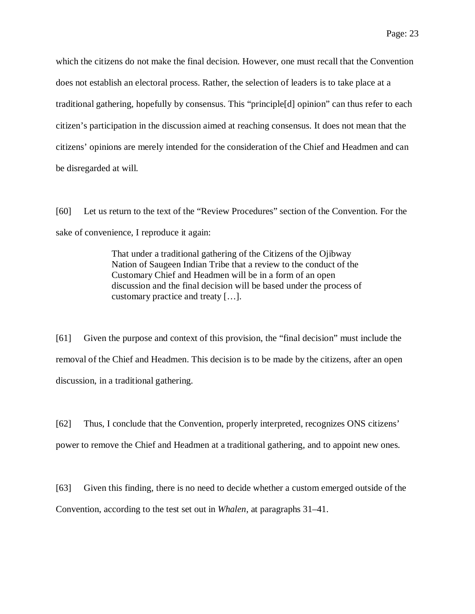which the citizens do not make the final decision. However, one must recall that the Convention does not establish an electoral process. Rather, the selection of leaders is to take place at a traditional gathering, hopefully by consensus. This "principle[d] opinion" can thus refer to each citizen's participation in the discussion aimed at reaching consensus. It does not mean that the citizens' opinions are merely intended for the consideration of the Chief and Headmen and can be disregarded at will.

[60] Let us return to the text of the "Review Procedures" section of the Convention. For the sake of convenience, I reproduce it again:

> That under a traditional gathering of the Citizens of the Ojibway Nation of Saugeen Indian Tribe that a review to the conduct of the Customary Chief and Headmen will be in a form of an open discussion and the final decision will be based under the process of customary practice and treaty […].

[61] Given the purpose and context of this provision, the "final decision" must include the removal of the Chief and Headmen. This decision is to be made by the citizens, after an open discussion, in a traditional gathering.

[62] Thus, I conclude that the Convention, properly interpreted, recognizes ONS citizens' power to remove the Chief and Headmen at a traditional gathering, and to appoint new ones.

[63] Given this finding, there is no need to decide whether a custom emerged outside of the Convention, according to the test set out in *Whalen*, at paragraphs 31–41.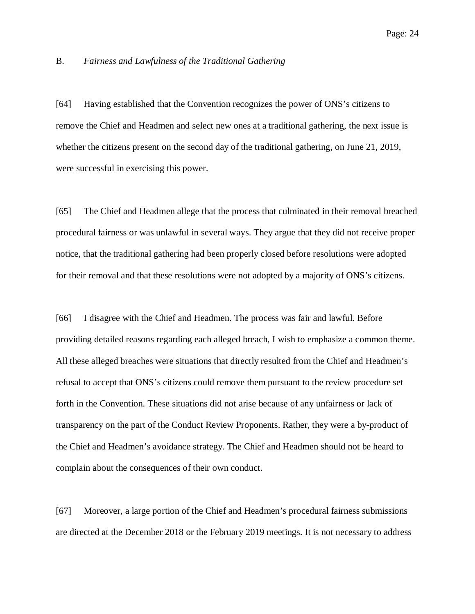## B. *Fairness and Lawfulness of the Traditional Gathering*

[64] Having established that the Convention recognizes the power of ONS's citizens to remove the Chief and Headmen and select new ones at a traditional gathering, the next issue is whether the citizens present on the second day of the traditional gathering, on June 21, 2019, were successful in exercising this power.

[65] The Chief and Headmen allege that the process that culminated in their removal breached procedural fairness or was unlawful in several ways. They argue that they did not receive proper notice, that the traditional gathering had been properly closed before resolutions were adopted for their removal and that these resolutions were not adopted by a majority of ONS's citizens.

[66] I disagree with the Chief and Headmen. The process was fair and lawful. Before providing detailed reasons regarding each alleged breach, I wish to emphasize a common theme. All these alleged breaches were situations that directly resulted from the Chief and Headmen's refusal to accept that ONS's citizens could remove them pursuant to the review procedure set forth in the Convention. These situations did not arise because of any unfairness or lack of transparency on the part of the Conduct Review Proponents. Rather, they were a by-product of the Chief and Headmen's avoidance strategy. The Chief and Headmen should not be heard to complain about the consequences of their own conduct.

[67] Moreover, a large portion of the Chief and Headmen's procedural fairness submissions are directed at the December 2018 or the February 2019 meetings. It is not necessary to address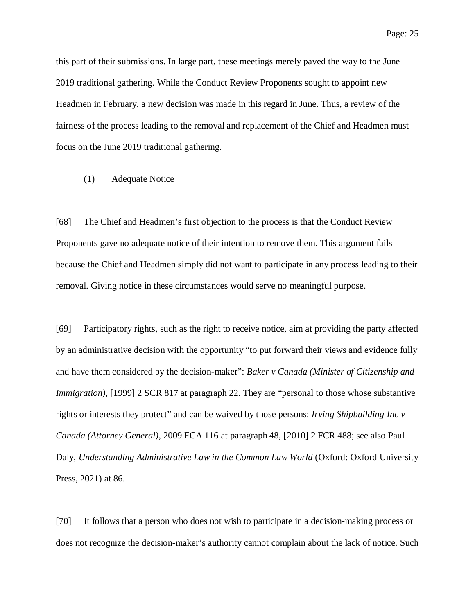this part of their submissions. In large part, these meetings merely paved the way to the June 2019 traditional gathering. While the Conduct Review Proponents sought to appoint new Headmen in February, a new decision was made in this regard in June. Thus, a review of the fairness of the process leading to the removal and replacement of the Chief and Headmen must focus on the June 2019 traditional gathering.

#### (1) Adequate Notice

[68] The Chief and Headmen's first objection to the process is that the Conduct Review Proponents gave no adequate notice of their intention to remove them. This argument fails because the Chief and Headmen simply did not want to participate in any process leading to their removal. Giving notice in these circumstances would serve no meaningful purpose.

[69] Participatory rights, such as the right to receive notice, aim at providing the party affected by an administrative decision with the opportunity "to put forward their views and evidence fully and have them considered by the decision-maker": *Baker v Canada (Minister of Citizenship and Immigration*), [1999] 2 SCR 817 at paragraph 22. They are "personal to those whose substantive rights or interests they protect" and can be waived by those persons: *Irving Shipbuilding Inc v Canada (Attorney General)*, 2009 FCA 116 at paragraph 48, [2010] 2 FCR 488; see also Paul Daly, *Understanding Administrative Law in the Common Law World* (Oxford: Oxford University Press, 2021) at 86.

[70] It follows that a person who does not wish to participate in a decision-making process or does not recognize the decision-maker's authority cannot complain about the lack of notice. Such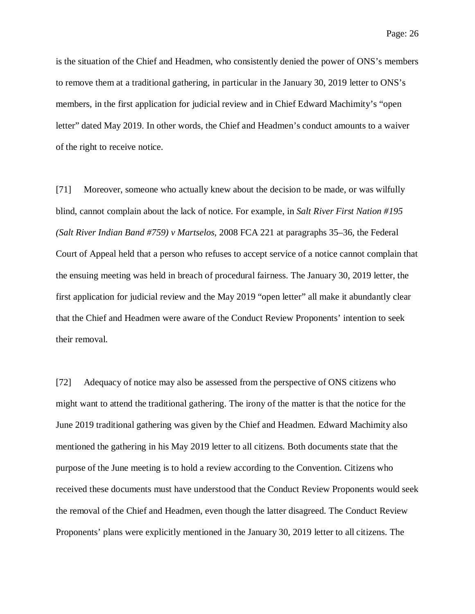is the situation of the Chief and Headmen, who consistently denied the power of ONS's members to remove them at a traditional gathering, in particular in the January 30, 2019 letter to ONS's members, in the first application for judicial review and in Chief Edward Machimity's "open letter" dated May 2019. In other words, the Chief and Headmen's conduct amounts to a waiver of the right to receive notice.

[71] Moreover, someone who actually knew about the decision to be made, or was wilfully blind, cannot complain about the lack of notice. For example, in *Salt River First Nation #195 (Salt River Indian Band #759) v Martselos*, 2008 FCA 221 at paragraphs 35–36, the Federal Court of Appeal held that a person who refuses to accept service of a notice cannot complain that the ensuing meeting was held in breach of procedural fairness. The January 30, 2019 letter, the first application for judicial review and the May 2019 "open letter" all make it abundantly clear that the Chief and Headmen were aware of the Conduct Review Proponents' intention to seek their removal.

[72] Adequacy of notice may also be assessed from the perspective of ONS citizens who might want to attend the traditional gathering. The irony of the matter is that the notice for the June 2019 traditional gathering was given by the Chief and Headmen. Edward Machimity also mentioned the gathering in his May 2019 letter to all citizens. Both documents state that the purpose of the June meeting is to hold a review according to the Convention. Citizens who received these documents must have understood that the Conduct Review Proponents would seek the removal of the Chief and Headmen, even though the latter disagreed. The Conduct Review Proponents' plans were explicitly mentioned in the January 30, 2019 letter to all citizens. The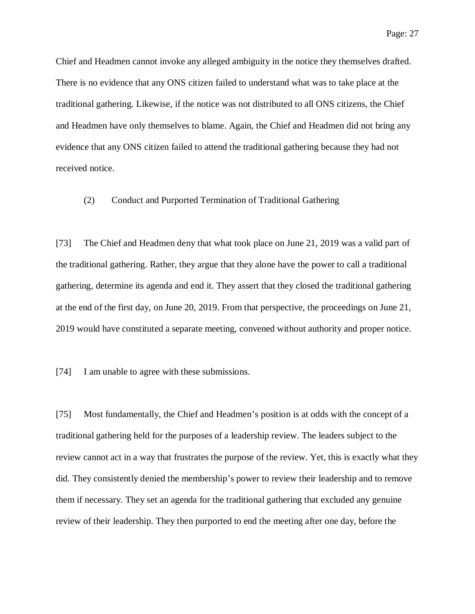Chief and Headmen cannot invoke any alleged ambiguity in the notice they themselves drafted. There is no evidence that any ONS citizen failed to understand what was to take place at the traditional gathering. Likewise, if the notice was not distributed to all ONS citizens, the Chief and Headmen have only themselves to blame. Again, the Chief and Headmen did not bring any evidence that any ONS citizen failed to attend the traditional gathering because they had not received notice.

## (2) Conduct and Purported Termination of Traditional Gathering

[73] The Chief and Headmen deny that what took place on June 21, 2019 was a valid part of the traditional gathering. Rather, they argue that they alone have the power to call a traditional gathering, determine its agenda and end it. They assert that they closed the traditional gathering at the end of the first day, on June 20, 2019. From that perspective, the proceedings on June 21, 2019 would have constituted a separate meeting, convened without authority and proper notice.

[74] I am unable to agree with these submissions.

[75] Most fundamentally, the Chief and Headmen's position is at odds with the concept of a traditional gathering held for the purposes of a leadership review. The leaders subject to the review cannot act in a way that frustrates the purpose of the review. Yet, this is exactly what they did. They consistently denied the membership's power to review their leadership and to remove them if necessary. They set an agenda for the traditional gathering that excluded any genuine review of their leadership. They then purported to end the meeting after one day, before the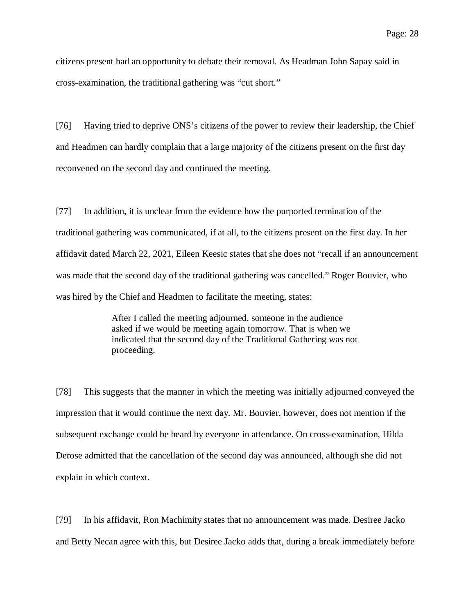citizens present had an opportunity to debate their removal. As Headman John Sapay said in cross-examination, the traditional gathering was "cut short."

[76] Having tried to deprive ONS's citizens of the power to review their leadership, the Chief and Headmen can hardly complain that a large majority of the citizens present on the first day reconvened on the second day and continued the meeting.

[77] In addition, it is unclear from the evidence how the purported termination of the traditional gathering was communicated, if at all, to the citizens present on the first day. In her affidavit dated March 22, 2021, Eileen Keesic states that she does not "recall if an announcement was made that the second day of the traditional gathering was cancelled." Roger Bouvier, who was hired by the Chief and Headmen to facilitate the meeting, states:

> After I called the meeting adjourned, someone in the audience asked if we would be meeting again tomorrow. That is when we indicated that the second day of the Traditional Gathering was not proceeding.

[78] This suggests that the manner in which the meeting was initially adjourned conveyed the impression that it would continue the next day. Mr. Bouvier, however, does not mention if the subsequent exchange could be heard by everyone in attendance. On cross-examination, Hilda Derose admitted that the cancellation of the second day was announced, although she did not explain in which context.

[79] In his affidavit, Ron Machimity states that no announcement was made. Desiree Jacko and Betty Necan agree with this, but Desiree Jacko adds that, during a break immediately before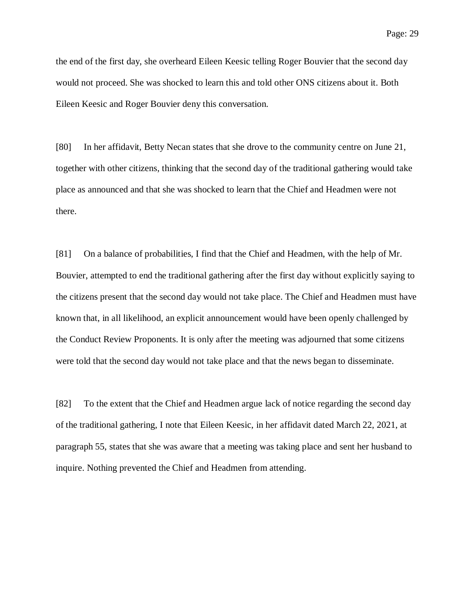the end of the first day, she overheard Eileen Keesic telling Roger Bouvier that the second day would not proceed. She was shocked to learn this and told other ONS citizens about it. Both Eileen Keesic and Roger Bouvier deny this conversation.

[80] In her affidavit, Betty Necan states that she drove to the community centre on June 21, together with other citizens, thinking that the second day of the traditional gathering would take place as announced and that she was shocked to learn that the Chief and Headmen were not there.

[81] On a balance of probabilities, I find that the Chief and Headmen, with the help of Mr. Bouvier, attempted to end the traditional gathering after the first day without explicitly saying to the citizens present that the second day would not take place. The Chief and Headmen must have known that, in all likelihood, an explicit announcement would have been openly challenged by the Conduct Review Proponents. It is only after the meeting was adjourned that some citizens were told that the second day would not take place and that the news began to disseminate.

[82] To the extent that the Chief and Headmen argue lack of notice regarding the second day of the traditional gathering, I note that Eileen Keesic, in her affidavit dated March 22, 2021, at paragraph 55, states that she was aware that a meeting was taking place and sent her husband to inquire. Nothing prevented the Chief and Headmen from attending.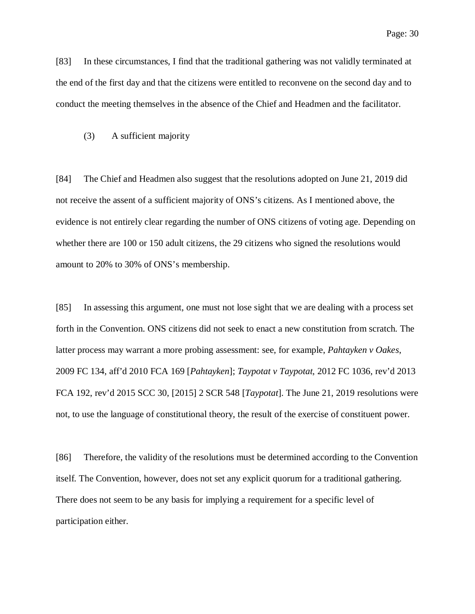[83] In these circumstances, I find that the traditional gathering was not validly terminated at the end of the first day and that the citizens were entitled to reconvene on the second day and to conduct the meeting themselves in the absence of the Chief and Headmen and the facilitator.

#### (3) A sufficient majority

[84] The Chief and Headmen also suggest that the resolutions adopted on June 21, 2019 did not receive the assent of a sufficient majority of ONS's citizens. As I mentioned above, the evidence is not entirely clear regarding the number of ONS citizens of voting age. Depending on whether there are 100 or 150 adult citizens, the 29 citizens who signed the resolutions would amount to 20% to 30% of ONS's membership.

[85] In assessing this argument, one must not lose sight that we are dealing with a process set forth in the Convention. ONS citizens did not seek to enact a new constitution from scratch. The latter process may warrant a more probing assessment: see, for example, *Pahtayken v Oakes*, 2009 FC 134, aff'd 2010 FCA 169 [*Pahtayken*]; *Taypotat v Taypotat*, 2012 FC 1036, rev'd 2013 FCA 192, rev'd 2015 SCC 30, [2015] 2 SCR 548 [*Taypotat*]. The June 21, 2019 resolutions were not, to use the language of constitutional theory, the result of the exercise of constituent power.

[86] Therefore, the validity of the resolutions must be determined according to the Convention itself. The Convention, however, does not set any explicit quorum for a traditional gathering. There does not seem to be any basis for implying a requirement for a specific level of participation either.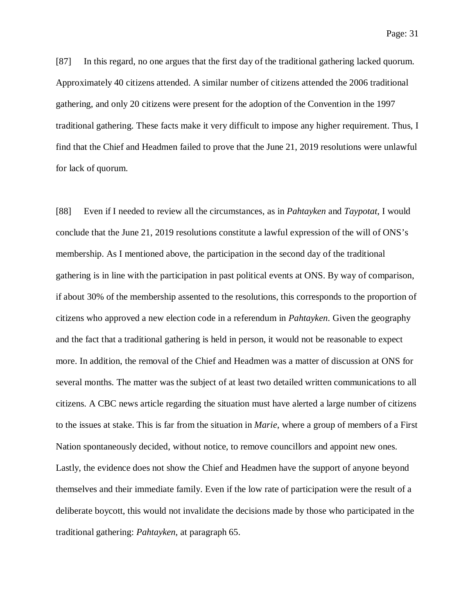[87] In this regard, no one argues that the first day of the traditional gathering lacked quorum. Approximately 40 citizens attended. A similar number of citizens attended the 2006 traditional gathering, and only 20 citizens were present for the adoption of the Convention in the 1997 traditional gathering. These facts make it very difficult to impose any higher requirement. Thus, I find that the Chief and Headmen failed to prove that the June 21, 2019 resolutions were unlawful for lack of quorum.

[88] Even if I needed to review all the circumstances, as in *Pahtayken* and *Taypotat*, I would conclude that the June 21, 2019 resolutions constitute a lawful expression of the will of ONS's membership. As I mentioned above, the participation in the second day of the traditional gathering is in line with the participation in past political events at ONS. By way of comparison, if about 30% of the membership assented to the resolutions, this corresponds to the proportion of citizens who approved a new election code in a referendum in *Pahtayken*. Given the geography and the fact that a traditional gathering is held in person, it would not be reasonable to expect more. In addition, the removal of the Chief and Headmen was a matter of discussion at ONS for several months. The matter was the subject of at least two detailed written communications to all citizens. A CBC news article regarding the situation must have alerted a large number of citizens to the issues at stake. This is far from the situation in *Marie*, where a group of members of a First Nation spontaneously decided, without notice, to remove councillors and appoint new ones. Lastly, the evidence does not show the Chief and Headmen have the support of anyone beyond themselves and their immediate family. Even if the low rate of participation were the result of a deliberate boycott, this would not invalidate the decisions made by those who participated in the traditional gathering: *Pahtayken*, at paragraph 65.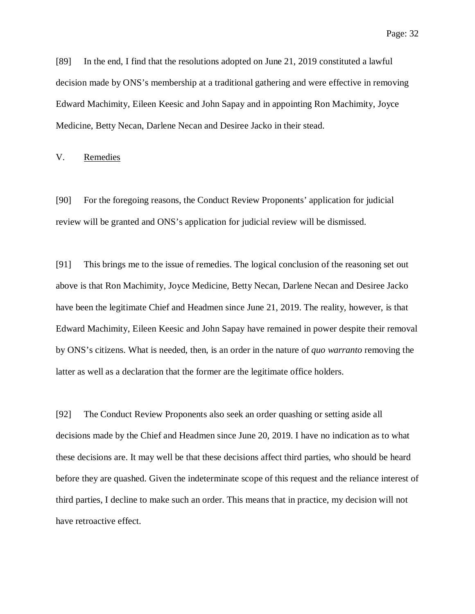[89] In the end, I find that the resolutions adopted on June 21, 2019 constituted a lawful decision made by ONS's membership at a traditional gathering and were effective in removing Edward Machimity, Eileen Keesic and John Sapay and in appointing Ron Machimity, Joyce Medicine, Betty Necan, Darlene Necan and Desiree Jacko in their stead.

V. Remedies

[90] For the foregoing reasons, the Conduct Review Proponents' application for judicial review will be granted and ONS's application for judicial review will be dismissed.

[91] This brings me to the issue of remedies. The logical conclusion of the reasoning set out above is that Ron Machimity, Joyce Medicine, Betty Necan, Darlene Necan and Desiree Jacko have been the legitimate Chief and Headmen since June 21, 2019. The reality, however, is that Edward Machimity, Eileen Keesic and John Sapay have remained in power despite their removal by ONS's citizens. What is needed, then, is an order in the nature of *quo warranto* removing the latter as well as a declaration that the former are the legitimate office holders.

[92] The Conduct Review Proponents also seek an order quashing or setting aside all decisions made by the Chief and Headmen since June 20, 2019. I have no indication as to what these decisions are. It may well be that these decisions affect third parties, who should be heard before they are quashed. Given the indeterminate scope of this request and the reliance interest of third parties, I decline to make such an order. This means that in practice, my decision will not have retroactive effect.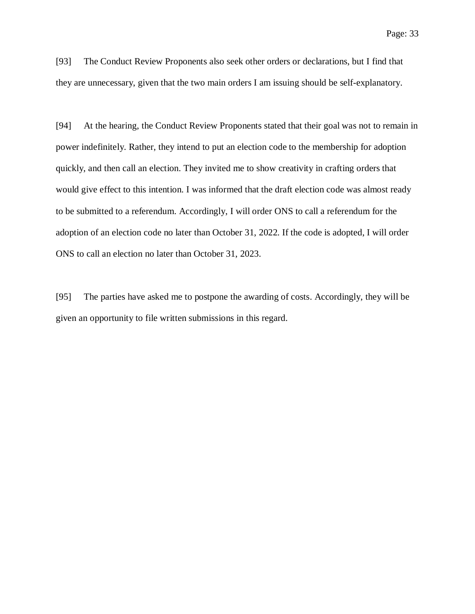[93] The Conduct Review Proponents also seek other orders or declarations, but I find that they are unnecessary, given that the two main orders I am issuing should be self-explanatory.

[94] At the hearing, the Conduct Review Proponents stated that their goal was not to remain in power indefinitely. Rather, they intend to put an election code to the membership for adoption quickly, and then call an election. They invited me to show creativity in crafting orders that would give effect to this intention. I was informed that the draft election code was almost ready to be submitted to a referendum. Accordingly, I will order ONS to call a referendum for the adoption of an election code no later than October 31, 2022. If the code is adopted, I will order ONS to call an election no later than October 31, 2023.

[95] The parties have asked me to postpone the awarding of costs. Accordingly, they will be given an opportunity to file written submissions in this regard.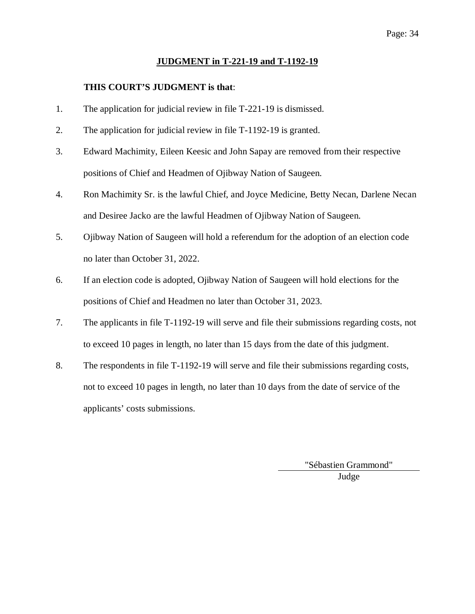## Page: 34

## **JUDGMENT in T-221-19 and T-1192-19**

## **THIS COURT'S JUDGMENT is that**:

- 1. The application for judicial review in file T-221-19 is dismissed.
- 2. The application for judicial review in file T-1192-19 is granted.
- 3. Edward Machimity, Eileen Keesic and John Sapay are removed from their respective positions of Chief and Headmen of Ojibway Nation of Saugeen.
- 4. Ron Machimity Sr. is the lawful Chief, and Joyce Medicine, Betty Necan, Darlene Necan and Desiree Jacko are the lawful Headmen of Ojibway Nation of Saugeen.
- 5. Ojibway Nation of Saugeen will hold a referendum for the adoption of an election code no later than October 31, 2022.
- 6. If an election code is adopted, Ojibway Nation of Saugeen will hold elections for the positions of Chief and Headmen no later than October 31, 2023.
- 7. The applicants in file T-1192-19 will serve and file their submissions regarding costs, not to exceed 10 pages in length, no later than 15 days from the date of this judgment.
- 8. The respondents in file T-1192-19 will serve and file their submissions regarding costs, not to exceed 10 pages in length, no later than 10 days from the date of service of the applicants' costs submissions.

"Sébastien Grammond" Judge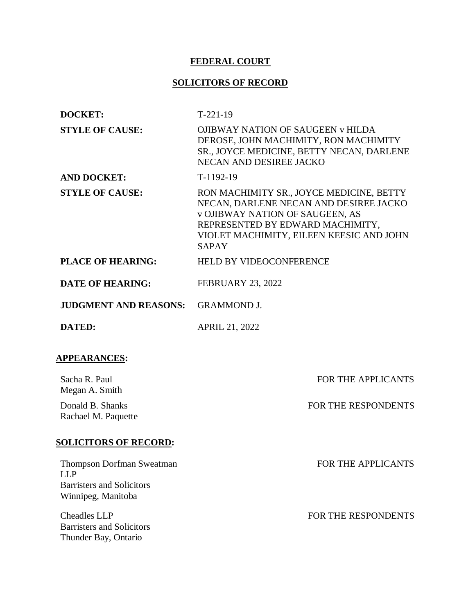## **FEDERAL COURT**

# **SOLICITORS OF RECORD**

| <b>DOCKET:</b>                                                                                    | $T-221-19$                                                                                                                                                                                                                   |
|---------------------------------------------------------------------------------------------------|------------------------------------------------------------------------------------------------------------------------------------------------------------------------------------------------------------------------------|
| <b>STYLE OF CAUSE:</b>                                                                            | <b>OJIBWAY NATION OF SAUGEEN v HILDA</b><br>DEROSE, JOHN MACHIMITY, RON MACHIMITY<br>SR., JOYCE MEDICINE, BETTY NECAN, DARLENE<br>NECAN AND DESIREE JACKO                                                                    |
| <b>AND DOCKET:</b>                                                                                | $T-1192-19$                                                                                                                                                                                                                  |
| <b>STYLE OF CAUSE:</b>                                                                            | RON MACHIMITY SR., JOYCE MEDICINE, BETTY<br>NECAN, DARLENE NECAN AND DESIREE JACKO<br><b>v OJIBWAY NATION OF SAUGEEN, AS</b><br>REPRESENTED BY EDWARD MACHIMITY,<br>VIOLET MACHIMITY, EILEEN KEESIC AND JOHN<br><b>SAPAY</b> |
| <b>PLACE OF HEARING:</b>                                                                          | <b>HELD BY VIDEOCONFERENCE</b>                                                                                                                                                                                               |
| <b>DATE OF HEARING:</b>                                                                           | <b>FEBRUARY 23, 2022</b>                                                                                                                                                                                                     |
| <b>JUDGMENT AND REASONS:</b>                                                                      | <b>GRAMMOND J.</b>                                                                                                                                                                                                           |
| <b>DATED:</b>                                                                                     | <b>APRIL 21, 2022</b>                                                                                                                                                                                                        |
| <b>APPEARANCES:</b>                                                                               |                                                                                                                                                                                                                              |
| Sacha R. Paul<br>Megan A. Smith                                                                   | <b>FOR THE APPLICANTS</b>                                                                                                                                                                                                    |
| Donald B. Shanks<br>Rachael M. Paquette                                                           | FOR THE RESPONDENTS                                                                                                                                                                                                          |
| <b>SOLICITORS OF RECORD:</b>                                                                      |                                                                                                                                                                                                                              |
| Thompson Dorfman Sweatman<br><b>LLP</b><br><b>Barristers and Solicitors</b><br>Winnipeg, Manitoba | <b>FOR THE APPLICANTS</b>                                                                                                                                                                                                    |
| <b>Cheadles LLP</b><br><b>Barristers and Solicitors</b>                                           | FOR THE RESPONDENTS                                                                                                                                                                                                          |

Thunder Bay, Ontario